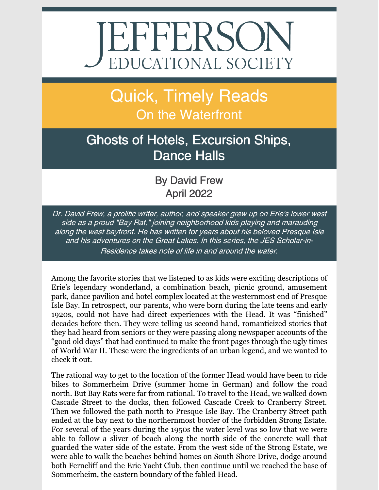# **JEFFERSON** EDUCATIONAL SOCIETY

## Quick, Timely Reads On the Waterfront

### Ghosts of Hotels, Excursion Ships, Dance Halls

By David Frew April 2022

Dr. David Frew, <sup>a</sup> prolific writer, author, and speaker grew up on Erie's lower west side as <sup>a</sup> proud "Bay Rat," joining neighborhood kids playing and marauding along the west bayfront. He has written for years about his beloved Presque Isle and his adventures on the Great Lakes. In this series, the JES Scholar-in-Residence takes note of life in and around the water.

Among the favorite stories that we listened to as kids were exciting descriptions of Erie's legendary wonderland, a combination beach, picnic ground, amusement park, dance pavilion and hotel complex located at the westernmost end of Presque Isle Bay. In retrospect, our parents, who were born during the late teens and early 1920s, could not have had direct experiences with the Head. It was "finished" decades before then. They were telling us second hand, romanticized stories that they had heard from seniors or they were passing along newspaper accounts of the "good old days" that had continued to make the front pages through the ugly times of World War II. These were the ingredients of an urban legend, and we wanted to check it out.

The rational way to get to the location of the former Head would have been to ride bikes to Sommerheim Drive (summer home in German) and follow the road north. But Bay Rats were far from rational. To travel to the Head, we walked down Cascade Street to the docks, then followed Cascade Creek to Cranberry Street. Then we followed the path north to Presque Isle Bay. The Cranberry Street path ended at the bay next to the northernmost border of the forbidden Strong Estate. For several of the years during the 1950s the water level was so low that we were able to follow a sliver of beach along the north side of the concrete wall that guarded the water side of the estate. From the west side of the Strong Estate, we were able to walk the beaches behind homes on South Shore Drive, dodge around both Ferncliff and the Erie Yacht Club, then continue until we reached the base of Sommerheim, the eastern boundary of the fabled Head.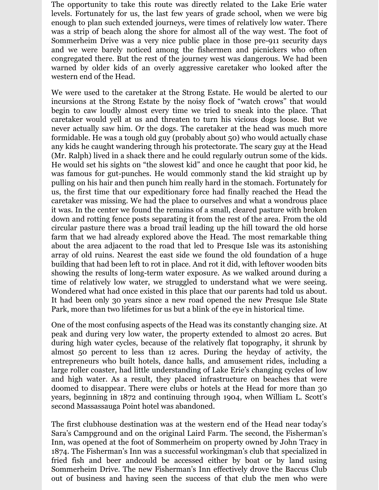The opportunity to take this route was directly related to the Lake Erie water levels. Fortunately for us, the last few years of grade school, when we were big enough to plan such extended journeys, were times of relatively low water. There was a strip of beach along the shore for almost all of the way west. The foot of Sommerheim Drive was a very nice public place in those pre-911 security days and we were barely noticed among the fishermen and picnickers who often congregated there. But the rest of the journey west was dangerous. We had been warned by older kids of an overly aggressive caretaker who looked after the western end of the Head.

We were used to the caretaker at the Strong Estate. He would be alerted to our incursions at the Strong Estate by the noisy flock of "watch crows" that would begin to caw loudly almost every time we tried to sneak into the place. That caretaker would yell at us and threaten to turn his vicious dogs loose. But we never actually saw him. Or the dogs. The caretaker at the head was much more formidable. He was a tough old guy (probably about 50) who would actually chase any kids he caught wandering through his protectorate. The scary guy at the Head (Mr. Ralph) lived in a shack there and he could regularly outrun some of the kids. He would set his sights on "the slowest kid" and once he caught that poor kid, he was famous for gut-punches. He would commonly stand the kid straight up by pulling on his hair and then punch him really hard in the stomach. Fortunately for us, the first time that our expeditionary force had finally reached the Head the caretaker was missing. We had the place to ourselves and what a wondrous place it was. In the center we found the remains of a small, cleared pasture with broken down and rotting fence posts separating it from the rest of the area. From the old circular pasture there was a broad trail leading up the hill toward the old horse farm that we had already explored above the Head. The most remarkable thing about the area adjacent to the road that led to Presque Isle was its astonishing array of old ruins. Nearest the east side we found the old foundation of a huge building that had been left to rot in place. And rot it did, with leftover wooden bits showing the results of long-term water exposure. As we walked around during a time of relatively low water, we struggled to understand what we were seeing. Wondered what had once existed in this place that our parents had told us about. It had been only 30 years since a new road opened the new Presque Isle State Park, more than two lifetimes for us but a blink of the eye in historical time.

One of the most confusing aspects of the Head was its constantly changing size. At peak and during very low water, the property extended to almost 20 acres. But during high water cycles, because of the relatively flat topography, it shrunk by almost 50 percent to less than 12 acres. During the heyday of activity, the entrepreneurs who built hotels, dance halls, and amusement rides, including a large roller coaster, had little understanding of Lake Erie's changing cycles of low and high water. As a result, they placed infrastructure on beaches that were doomed to disappear. There were clubs or hotels at the Head for more than 30 years, beginning in 1872 and continuing through 1904, when William L. Scott's second Massassauga Point hotel was abandoned.

The first clubhouse destination was at the western end of the Head near today's Sara's Campground and on the original Laird Farm. The second, the Fisherman's Inn, was opened at the foot of Sommerheim on property owned by John Tracy in 1874. The Fisherman's Inn was a successful workingman's club that specialized in fried fish and beer andcould be accessed either by boat or by land using Sommerheim Drive. The new Fisherman's Inn effectively drove the Baccus Club out of business and having seen the success of that club the men who were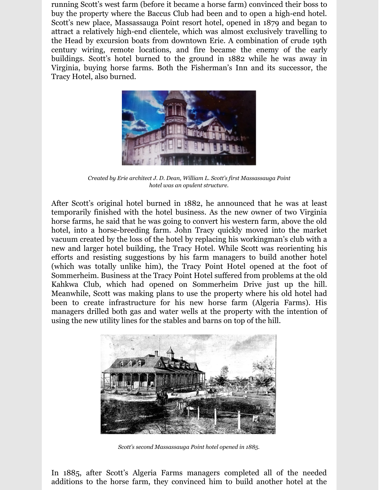running Scott's west farm (before it became a horse farm) convinced their boss to buy the property where the Baccus Club had been and to open a high-end hotel. Scott's new place, Massassauga Point resort hotel, opened in 1879 and began to attract a relatively high-end clientele, which was almost exclusively travelling to the Head by excursion boats from downtown Erie. A combination of crude 19th century wiring, remote locations, and fire became the enemy of the early buildings. Scott's hotel burned to the ground in 1882 while he was away in Virginia, buying horse farms. Both the Fisherman's Inn and its successor, the Tracy Hotel, also burned.



*Created by Erie architect J. D. Dean, William L. Scott's first Massassauga Point hotel was an opulent structure.*

After Scott's original hotel burned in 1882, he announced that he was at least temporarily finished with the hotel business. As the new owner of two Virginia horse farms, he said that he was going to convert his western farm, above the old hotel, into a horse-breeding farm. John Tracy quickly moved into the market vacuum created by the loss of the hotel by replacing his workingman's club with a new and larger hotel building, the Tracy Hotel. While Scott was reorienting his efforts and resisting suggestions by his farm managers to build another hotel (which was totally unlike him), the Tracy Point Hotel opened at the foot of Sommerheim. Business at the Tracy Point Hotel suffered from problems at the old Kahkwa Club, which had opened on Sommerheim Drive just up the hill. Meanwhile, Scott was making plans to use the property where his old hotel had been to create infrastructure for his new horse farm (Algeria Farms). His managers drilled both gas and water wells at the property with the intention of using the new utility lines for the stables and barns on top of the hill.



*Scott's second Massassauga Point hotel opened in 1885.*

In 1885, after Scott's Algeria Farms managers completed all of the needed additions to the horse farm, they convinced him to build another hotel at the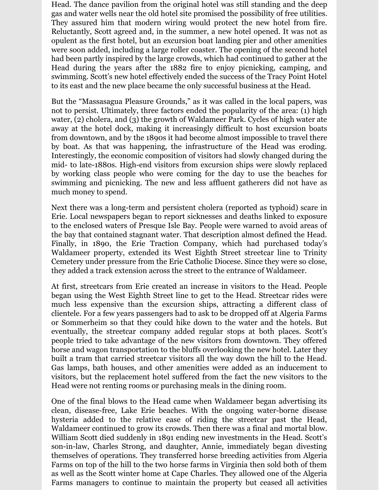Head. The dance pavilion from the original hotel was still standing and the deep gas and water wells near the old hotel site promised the possibility of free utilities. They assured him that modern wiring would protect the new hotel from fire. Reluctantly, Scott agreed and, in the summer, a new hotel opened. It was not as opulent as the first hotel, but an excursion boat landing pier and other amenities were soon added, including a large roller coaster. The opening of the second hotel had been partly inspired by the large crowds, which had continued to gather at the Head during the years after the 1882 fire to enjoy picnicking, camping, and swimming. Scott's new hotel effectively ended the success of the Tracy Point Hotel to its east and the new place became the only successful business at the Head.

But the "Massasagua Pleasure Grounds," as it was called in the local papers, was not to persist. Ultimately, three factors ended the popularity of the area: (1) high water, (2) cholera, and (3) the growth of Waldameer Park. Cycles of high water ate away at the hotel dock, making it increasingly difficult to host excursion boats from downtown, and by the 1890s it had become almost impossible to travel there by boat. As that was happening, the infrastructure of the Head was eroding. Interestingly, the economic composition of visitors had slowly changed during the mid- to late-1880s. High-end visitors from excursion ships were slowly replaced by working class people who were coming for the day to use the beaches for swimming and picnicking. The new and less affluent gatherers did not have as much money to spend.

Next there was a long-term and persistent cholera (reported as typhoid) scare in Erie. Local newspapers began to report sicknesses and deaths linked to exposure to the enclosed waters of Presque Isle Bay. People were warned to avoid areas of the bay that contained stagnant water. That description almost defined the Head. Finally, in 1890, the Erie Traction Company, which had purchased today's Waldameer property, extended its West Eighth Street streetcar line to Trinity Cemetery under pressure from the Erie Catholic Diocese. Since they were so close, they added a track extension across the street to the entrance of Waldameer.

At first, streetcars from Erie created an increase in visitors to the Head. People began using the West Eighth Street line to get to the Head. Streetcar rides were much less expensive than the excursion ships, attracting a different class of clientele. For a few years passengers had to ask to be dropped off at Algeria Farms or Sommerheim so that they could hike down to the water and the hotels. But eventually, the streetcar company added regular stops at both places. Scott's people tried to take advantage of the new visitors from downtown. They offered horse and wagon transportation to the bluffs overlooking the new hotel. Later they built a tram that carried streetcar visitors all the way down the hill to the Head. Gas lamps, bath houses, and other amenities were added as an inducement to visitors, but the replacement hotel suffered from the fact the new visitors to the Head were not renting rooms or purchasing meals in the dining room.

One of the final blows to the Head came when Waldameer began advertising its clean, disease-free, Lake Erie beaches. With the ongoing water-borne disease hysteria added to the relative ease of riding the streetcar past the Head, Waldameer continued to grow its crowds. Then there was a final and mortal blow. William Scott died suddenly in 1891 ending new investments in the Head. Scott's son-in-law, Charles Strong, and daughter, Annie, immediately began divesting themselves of operations. They transferred horse breeding activities from Algeria Farms on top of the hill to the two horse farms in Virginia then sold both of them as well as the Scott winter home at Cape Charles. They allowed one of the Algeria Farms managers to continue to maintain the property but ceased all activities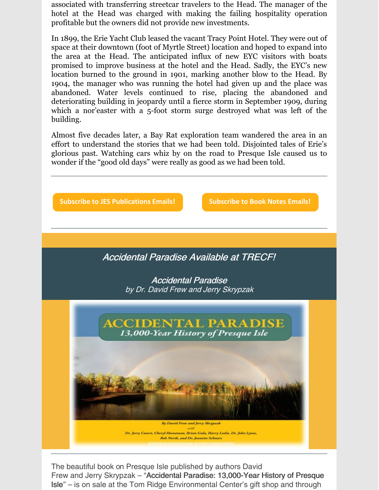associated with transferring streetcar travelers to the Head. The manager of the hotel at the Head was charged with making the failing hospitality operation profitable but the owners did not provide new investments.

In 1899, the Erie Yacht Club leased the vacant Tracy Point Hotel. They were out of space at their downtown (foot of Myrtle Street) location and hoped to expand into the area at the Head. The anticipated influx of new EYC visitors with boats promised to improve business at the hotel and the Head. Sadly, the EYC's new location burned to the ground in 1901, marking another blow to the Head. By 1904, the manager who was running the hotel had given up and the place was abandoned. Water levels continued to rise, placing the abandoned and deteriorating building in jeopardy until a fierce storm in September 1909, during which a nor'easter with a 5-foot storm surge destroyed what was left of the building.

Almost five decades later, a Bay Rat exploration team wandered the area in an effort to understand the stories that we had been told. Disjointed tales of Erie's glorious past. Watching cars whiz by on the road to Presque Isle caused us to wonder if the "good old days" were really as good as we had been told.



The beautiful book on Presque Isle published by authors David Frew and Jerry Skrypzak – "Accidental Paradise: 13,000-Year History of Presque Isle" – is on sale at the Tom Ridge Environmental Center's gift shop and through